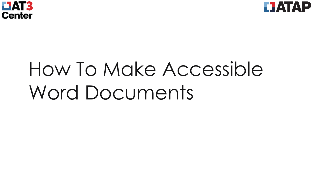



# How To Make Accessible Word Documents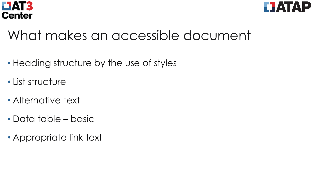



#### What makes an accessible document

- Heading structure by the use of styles
- List structure
- Alternative text
- Data table basic
- Appropriate link text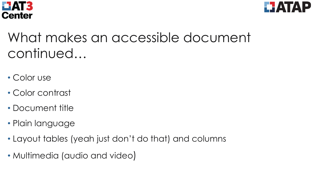



# What makes an accessible document continued…

- Color use
- Color contrast
- Document title
- Plain language
- Layout tables (yeah just don't do that) and columns
- Multimedia (audio and video)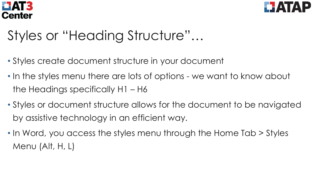



# Styles or "Heading Structure"…

- Styles create document structure in your document
- In the styles menu there are lots of options we want to know about the Headings specifically H1 – H6
- Styles or document structure allows for the document to be navigated by assistive technology in an efficient way.
- In Word, you access the styles menu through the Home Tab > Styles Menu (Alt, H, L)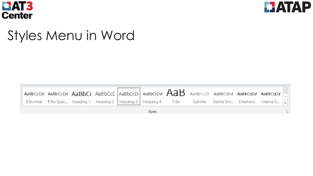



#### Styles Menu in Word

| AaBbCcDd AaBbCcDd $\sf A$ a $\sf B$ b $\sf C$ ( $\sf A$ aBbCc $\sf C$ $\sf I$ AaBbCcD $\sf I$ $\sf A$ a $\sf B$ b $\sf A$ aaBbCcD AaBb $\sf C$ cDd Aa $\sf B$ bCc $\sf D$ d $\sf A$ |  |  |  |  |  |  |  |                                                                                                                                 |  |  |
|-------------------------------------------------------------------------------------------------------------------------------------------------------------------------------------|--|--|--|--|--|--|--|---------------------------------------------------------------------------------------------------------------------------------|--|--|
|                                                                                                                                                                                     |  |  |  |  |  |  |  | <b>Tindumal Tindum Spac</b> Heading 1 Heading 2 Heading 3 Heading 4 Title Subtitle Subtle Em Emphasis Intense E $\frac{1}{\pm}$ |  |  |
| Styles                                                                                                                                                                              |  |  |  |  |  |  |  |                                                                                                                                 |  |  |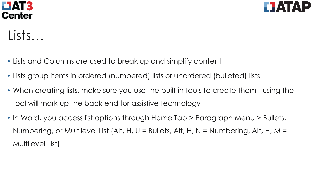



Lists…

- Lists and Columns are used to break up and simplify content
- Lists group items in ordered (numbered) lists or unordered (bulleted) lists
- When creating lists, make sure you use the built in tools to create them using the tool will mark up the back end for assistive technology
- In Word, you access list options through Home Tab > Paragraph Menu > Bullets, Numbering, or Multilevel List (Alt, H, U = Bullets, Alt, H, N = Numbering, Alt, H, M = Multilevel List)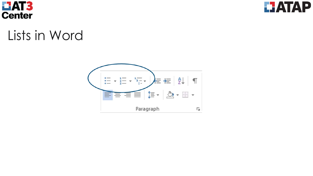



#### Lists in Word

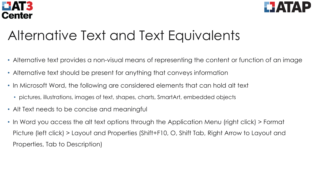



# Alternative Text and Text Equivalents

- Alternative text provides a non-visual means of representing the content or function of an image
- Alternative text should be present for anything that conveys information
- In Microsoft Word, the following are considered elements that can hold alt text
	- pictures, illustrations, images of text, shapes, charts, SmartArt, embedded objects
- Alt Text needs to be concise and meaningful
- In Word you access the alt text options through the Application Menu (right click) > Format Picture (left click) > Layout and Properties (Shift+F10, O, Shift Tab, Right Arrow to Layout and Properties, Tab to Description)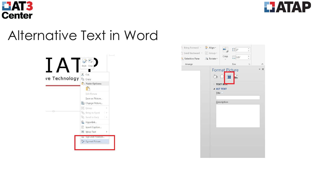



#### Alternative Text in Word



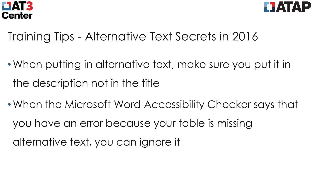



- Training Tips Alternative Text Secrets in 2016
- •When putting in alternative text, make sure you put it in the description not in the title
- •When the Microsoft Word Accessibility Checker says that you have an error because your table is missing alternative text, you can ignore it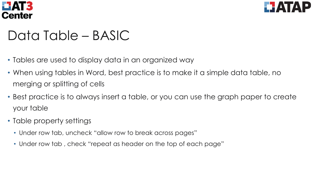



#### Data Table – BASIC

- Tables are used to display data in an organized way
- When using tables in Word, best practice is to make it a simple data table, no merging or splitting of cells
- Best practice is to always insert a table, or you can use the graph paper to create your table
- Table property settings
	- Under row tab, uncheck "allow row to break across pages"
	- Under row tab , check "repeat as header on the top of each page"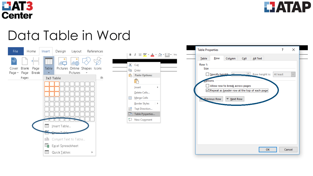



#### Data Table in Word



| X, | Cut                            |   |  |
|----|--------------------------------|---|--|
|    | lie Copy                       |   |  |
|    | <b>The Paste Options:</b>      |   |  |
|    | ڪ                              |   |  |
|    | Insert                         | Þ |  |
|    | Delete Cells                   |   |  |
|    | $\boxplus$ Merge Cells         |   |  |
|    | <u>B</u> order Styles   ▶      |   |  |
|    | $\prod_{i=1}^A$ Text Direction |   |  |
|    | <b>Em</b> Table Properties     |   |  |
|    | こ】 New Co <u>m</u> ment        |   |  |
|    |                                |   |  |

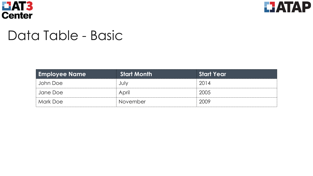



#### Data Table - Basic

| <b>Employee Name</b> | <b>Start Month</b> | <b>Start Year</b> |
|----------------------|--------------------|-------------------|
| John Doe             | July               | 2014              |
| Jane Doe             | April              | 2005              |
| Mark Doe             | November           | 2009              |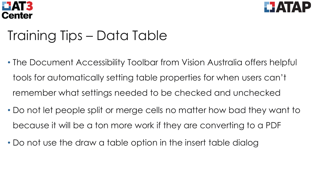



# Training Tips – Data Table

- The Document Accessibility Toolbar from Vision Australia offers helpful tools for automatically setting table properties for when users can't remember what settings needed to be checked and unchecked
- Do not let people split or merge cells no matter how bad they want to because it will be a ton more work if they are converting to a PDF
- Do not use the draw a table option in the insert table dialog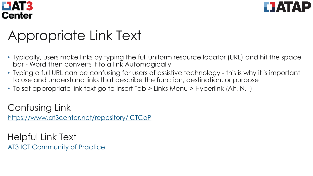



# Appropriate Link Text

- Typically, users make links by typing the full uniform resource locator (URL) and hit the space bar - Word then converts it to a link Automagically
- Typing a full URL can be confusing for users of assistive technology this is why it is important to use and understand links that describe the function, destination, or purpose
- To set appropriate link text go to Insert Tab > Links Menu > Hyperlink (Alt, N, I)

Confusing Link <https://www.at3center.net/repository/ICTCoP>

Helpful Link Text [AT3 ICT Community of Practice](https://www.at3center.net/repository/ICTCoP)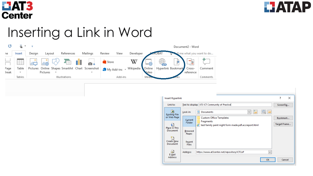



# Inserting a Link in Word



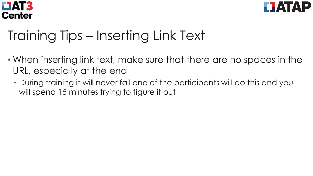



# Training Tips – Inserting Link Text

- When inserting link text, make sure that there are no spaces in the URL, especially at the end
	- During training it will never fail one of the participants will do this and you will spend 15 minutes trying to figure it out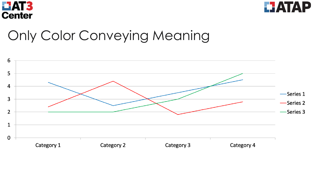



#### Only Color Conveying Meaning

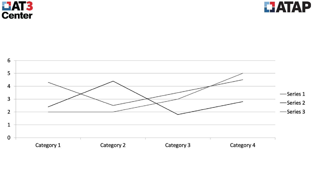



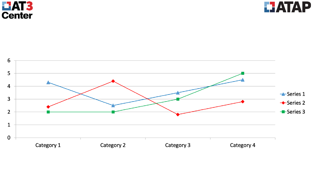



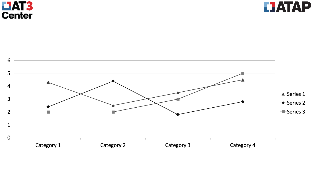



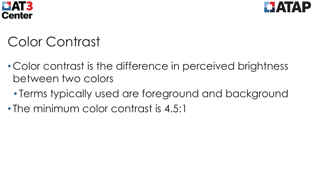



# Color Contrast

- Color contrast is the difference in perceived brightness between two colors
	- Terms typically used are foreground and background
- The minimum color contrast is 4.5:1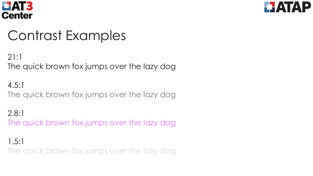



#### Contrast Examples

21:1 The quick brown fox jumps over the lazy dog

4.5:1 The quick brown fox jumps over the lazy dog

2.8:1 The quick brown fox jumps over the lazy dog

1.5:1 The quick brown fox jumps over the lazy dog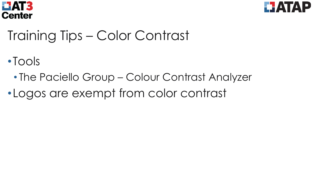



# Training Tips – Color Contrast

- •Tools
	- The Paciello Group Colour Contrast Analyzer
- •Logos are exempt from color contrast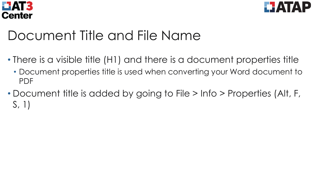



#### Document Title and File Name

- There is a visible title (H1) and there is a document properties title
	- Document properties title is used when converting your Word document to PDF
- Document title is added by going to File > Info > Properties (Alt, F, S, 1)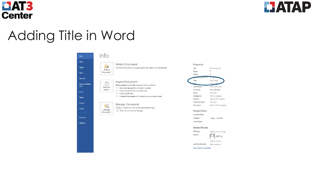



Not saved yet

 $\overline{2}$ 

 $5<sup>7</sup>$ 

**236 IV** 

Add a title

Add comments

Normal.dotm

Add a category

Specify the subject

Specify the company

Today, 12:28 PM

Specify the manager

Not saved yet

IATP A. Add an author

Add text

Add text

Add a ti

**Rifting Time** 

# Adding Title in Word

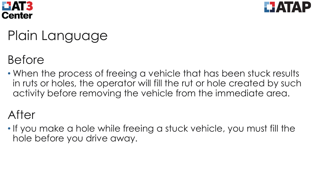



# Plain Language

#### Before

• When the process of freeing a vehicle that has been stuck results in ruts or holes, the operator will fill the rut or hole created by such activity before removing the vehicle from the immediate area.

#### After

• If you make a hole while freeing a stuck vehicle, you must fill the hole before you drive away.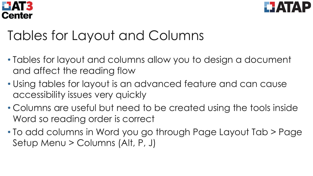



# Tables for Layout and Columns

- Tables for layout and columns allow you to design a document and affect the reading flow
- Using tables for layout is an advanced feature and can cause accessibility issues very quickly
- Columns are useful but need to be created using the tools inside Word so reading order is correct
- To add columns in Word you go through Page Layout Tab > Page Setup Menu > Columns (Alt, P, J)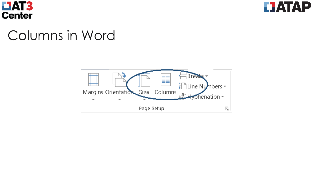



#### Columns in Word

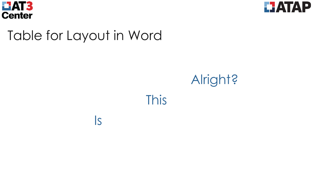



#### Table for Layout in Word

Is

# Alright?

This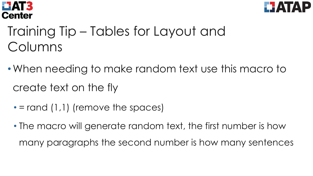



# Training Tip – Tables for Layout and Columns

- •When needing to make random text use this macro to create text on the fly
	- $\cdot$  = rand (1,1) (remove the spaces)
	- The macro will generate random text, the first number is how many paragraphs the second number is how many sentences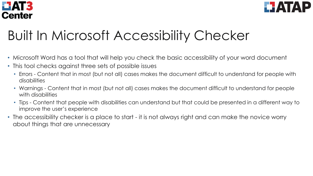



# Built In Microsoft Accessibility Checker

- Microsoft Word has a tool that will help you check the basic accessibility of your word document
- This tool checks against three sets of possible issues
	- Errors Content that in most (but not all) cases makes the document difficult to understand for people with disabilities
	- Warnings Content that in most (but not all) cases makes the document difficult to understand for people with disabilities
	- Tips Content that people with disabilities can understand but that could be presented in a different way to improve the user's experience
- The accessibility checker is a place to start it is not always right and can make the novice worry about things that are unnecessary